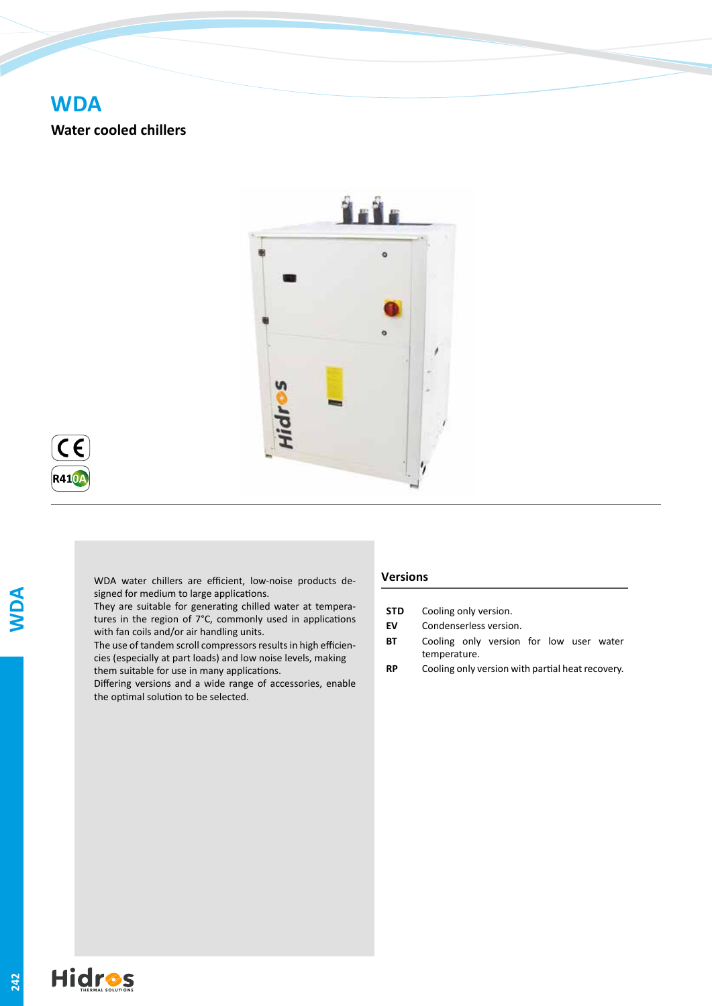# **WDA**

**Water cooled chillers**





WDA water chillers are efficient, low-noise products designed for medium to large applications.

They are suitable for generating chilled water at temperatures in the region of 7°C, commonly used in applications with fan coils and/or air handling units.

The use of tandem scroll compressors results in high efficiencies (especially at part loads) and low noise levels, making them suitable for use in many applications.

Differing versions and a wide range of accessories, enable the optimal solution to be selected.

## **Versions**

- **STD** Cooling only version.
- **EV** Condenserless version.
- **BT** Cooling only version for low user water temperature.
- **RP** Cooling only version with partial heat recovery.

**WDA**

**242**

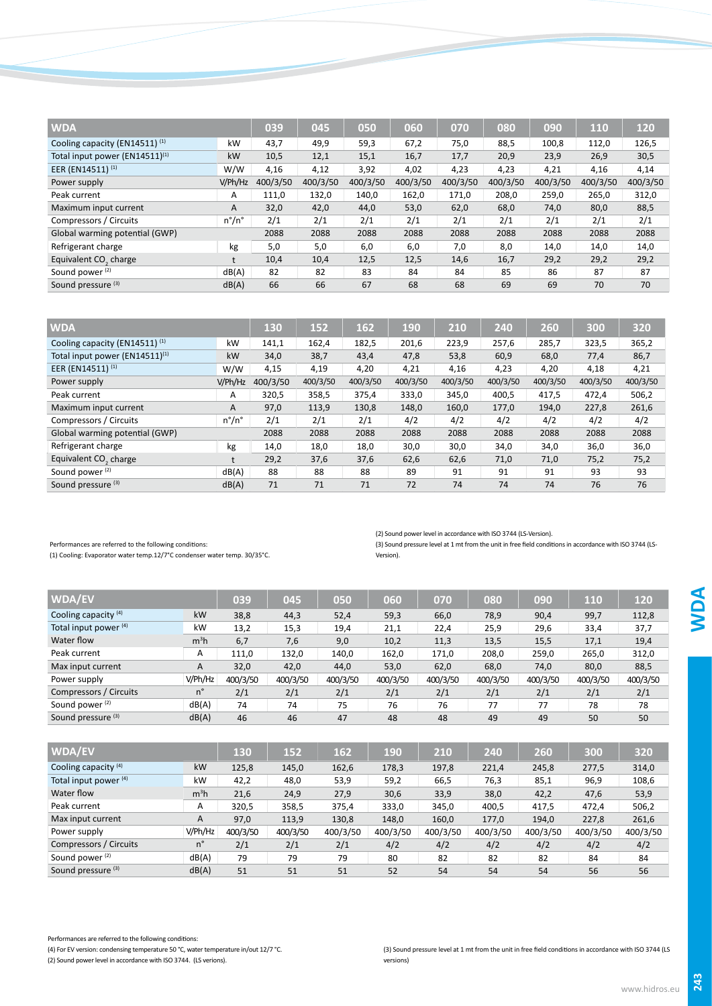| <b>WDA</b>                        |                       | 039      | 045      | 050      | 060      | 070      | 080      | 090      | 110      | 120      |
|-----------------------------------|-----------------------|----------|----------|----------|----------|----------|----------|----------|----------|----------|
| Cooling capacity (EN14511) (1)    | kW                    | 43,7     | 49,9     | 59,3     | 67,2     | 75,0     | 88,5     | 100,8    | 112,0    | 126,5    |
| Total input power (EN14511)(1)    | kW                    | 10,5     | 12,1     | 15,1     | 16,7     | 17,7     | 20,9     | 23,9     | 26,9     | 30,5     |
| EER (EN14511) <sup>(1)</sup>      | W/W                   | 4,16     | 4,12     | 3,92     | 4,02     | 4,23     | 4,23     | 4,21     | 4,16     | 4,14     |
| Power supply                      | V/Ph/Hz               | 400/3/50 | 400/3/50 | 400/3/50 | 400/3/50 | 400/3/50 | 400/3/50 | 400/3/50 | 400/3/50 | 400/3/50 |
| Peak current                      | A                     | 111,0    | 132,0    | 140,0    | 162,0    | 171,0    | 208,0    | 259,0    | 265,0    | 312,0    |
| Maximum input current             | A                     | 32,0     | 42,0     | 44,0     | 53,0     | 62,0     | 68,0     | 74,0     | 80,0     | 88,5     |
| Compressors / Circuits            | $n^{\circ}/n^{\circ}$ | 2/1      | 2/1      | 2/1      | 2/1      | 2/1      | 2/1      | 2/1      | 2/1      | 2/1      |
| Global warming potential (GWP)    |                       | 2088     | 2088     | 2088     | 2088     | 2088     | 2088     | 2088     | 2088     | 2088     |
| Refrigerant charge                | kg                    | 5,0      | 5,0      | 6,0      | 6,0      | 7,0      | 8,0      | 14,0     | 14,0     | 14,0     |
| Equivalent CO <sub>2</sub> charge |                       | 10,4     | 10,4     | 12,5     | 12,5     | 14,6     | 16,7     | 29,2     | 29,2     | 29,2     |
| Sound power <sup>(2)</sup>        | dB(A)                 | 82       | 82       | 83       | 84       | 84       | 85       | 86       | 87       | 87       |
| Sound pressure (3)                | dB(A)                 | 66       | 66       | 67       | 68       | 68       | 69       | 69       | 70       | 70       |

| <b>WDA</b>                        |                       | 130      | 152      | 162      | 190      | 210      | 240      | 260      | 300      | 320      |
|-----------------------------------|-----------------------|----------|----------|----------|----------|----------|----------|----------|----------|----------|
| Cooling capacity (EN14511) (1)    | kW                    | 141,1    | 162,4    | 182,5    | 201,6    | 223,9    | 257,6    | 285,7    | 323,5    | 365,2    |
| Total input power (EN14511)(1)    | kW                    | 34,0     | 38,7     | 43,4     | 47,8     | 53,8     | 60,9     | 68,0     | 77,4     | 86,7     |
| EER (EN14511) <sup>(1)</sup>      | W/W                   | 4,15     | 4,19     | 4,20     | 4,21     | 4,16     | 4,23     | 4,20     | 4,18     | 4,21     |
| Power supply                      | V/Ph/Hz               | 400/3/50 | 400/3/50 | 400/3/50 | 400/3/50 | 400/3/50 | 400/3/50 | 400/3/50 | 400/3/50 | 400/3/50 |
| Peak current                      | A                     | 320,5    | 358,5    | 375,4    | 333,0    | 345,0    | 400,5    | 417,5    | 472,4    | 506,2    |
| Maximum input current             | Α                     | 97,0     | 113,9    | 130,8    | 148,0    | 160,0    | 177,0    | 194,0    | 227,8    | 261,6    |
| Compressors / Circuits            | $n^{\circ}/n^{\circ}$ | 2/1      | 2/1      | 2/1      | 4/2      | 4/2      | 4/2      | 4/2      | 4/2      | 4/2      |
| Global warming potential (GWP)    |                       | 2088     | 2088     | 2088     | 2088     | 2088     | 2088     | 2088     | 2088     | 2088     |
| Refrigerant charge                | kg                    | 14,0     | 18,0     | 18,0     | 30,0     | 30,0     | 34,0     | 34,0     | 36,0     | 36,0     |
| Equivalent CO <sub>2</sub> charge | t                     | 29,2     | 37,6     | 37,6     | 62,6     | 62,6     | 71,0     | 71,0     | 75,2     | 75,2     |
| Sound power <sup>(2)</sup>        | dB(A)                 | 88       | 88       | 88       | 89       | 91       | 91       | 91       | 93       | 93       |
| Sound pressure (3)                | dB(A)                 | 71       | 71       | 71       | 72       | 74       | 74       | 74       | 76       | 76       |

Performances are referred to the following conditions:

(1) Cooling: Evaporator water temp.12/7°C condenser water temp. 30/35°C.

(2) Sound power level in accordance with ISO 3744 (LS-Version).

(3) Sound pressure level at 1 mt from the unit in free field conditions in accordance with ISO 3744 (LS-Version).

| <b>WDA/EV</b>                   |                  | 039                                                                                                                                                                                                                                  | 045                           | 050               | 060           | 070          | 080          | 090          | 110      | 120                  |
|---------------------------------|------------------|--------------------------------------------------------------------------------------------------------------------------------------------------------------------------------------------------------------------------------------|-------------------------------|-------------------|---------------|--------------|--------------|--------------|----------|----------------------|
| Cooling capacity <sup>(4)</sup> | kW               | 38,8                                                                                                                                                                                                                                 | 44,3                          | 52,4              | 59,3          | 66,0         | 78,9         | 90,4         | 99,7     | 112,8                |
| Total input power (4)           | kW               | 13,2                                                                                                                                                                                                                                 | 15,3                          | 19,4              | 21,1          | 22,4         | 25,9         | 29,6         | 33,4     | 37,7                 |
| Water flow                      | m <sup>3</sup> h | 6,7                                                                                                                                                                                                                                  | 7,6                           | 9,0               | 10,2          | 11,3         | 13,5         | 15,5         | 17,1     | 19,4                 |
| Peak current                    | Α                | 111,0                                                                                                                                                                                                                                | 132,0                         | 140,0             | 162,0         | 171,0        | 208,0        | 259,0        | 265,0    | 312,0                |
| Max input current               | A                | 32,0                                                                                                                                                                                                                                 | 42,0                          | 44,0              | 53,0          | 62,0         | 68,0         | 74,0         | 80,0     | 88,5                 |
| Power supply                    | V/Ph/Hz          | 400/3/50                                                                                                                                                                                                                             | 400/3/50                      | 400/3/50          | 400/3/50      | 400/3/50     | 400/3/50     | 400/3/50     | 400/3/50 | 400/3/50             |
| Compressors / Circuits          | $n^{\circ}$      | 2/1                                                                                                                                                                                                                                  | 2/1                           | 2/1               | 2/1           | 2/1          | 2/1          | 2/1          | 2/1      | 2/1                  |
| Sound power <sup>(2)</sup>      | dB(A)            | 74                                                                                                                                                                                                                                   | 74                            | 75                | 76            | 76           | 77           | 77           | 78       | 78                   |
| Sound pressure (3)              | dB(A)            | 46                                                                                                                                                                                                                                   | 46                            | 47                | 48            | 48           | 49           | 49           | 50       | 50                   |
|                                 |                  |                                                                                                                                                                                                                                      |                               |                   |               |              |              |              |          |                      |
| 1410A/T1                        |                  | <b>The Contract of Contract of Contract of Contract of Contract of Contract of Contract of Contract of Contract of Contract of Contract of Contract of Contract of Contract of Contract of Contract of Contract of Contract of C</b> | <b>The Contract of Street</b> | <b>CONTRACTOR</b> | $\sim$ $\sim$ | <b>COLOR</b> | <b>COLOR</b> | $\mathbf{a}$ | A A A    | $\sim$ $\sim$ $\sim$ |

| <b>WDA/EV</b>              |                  | 130      | 152      | 162      | 190      | 210      | 240      | 260      | 300      | 320      |
|----------------------------|------------------|----------|----------|----------|----------|----------|----------|----------|----------|----------|
| Cooling capacity $(4)$     | kW               | 125,8    | 145,0    | 162,6    | 178,3    | 197,8    | 221,4    | 245,8    | 277,5    | 314,0    |
| Total input power (4)      | kW               | 42,2     | 48,0     | 53,9     | 59,2     | 66,5     | 76,3     | 85,1     | 96,9     | 108,6    |
| Water flow                 | m <sup>3</sup> h | 21,6     | 24,9     | 27,9     | 30,6     | 33,9     | 38,0     | 42,2     | 47,6     | 53,9     |
| Peak current               | Α                | 320,5    | 358,5    | 375,4    | 333,0    | 345,0    | 400,5    | 417,5    | 472,4    | 506,2    |
| Max input current          | $\mathsf{A}$     | 97,0     | 113,9    | 130,8    | 148,0    | 160,0    | 177,0    | 194.0    | 227,8    | 261,6    |
| Power supply               | V/Ph/Hz          | 400/3/50 | 400/3/50 | 400/3/50 | 400/3/50 | 400/3/50 | 400/3/50 | 400/3/50 | 400/3/50 | 400/3/50 |
| Compressors / Circuits     | n°               | 2/1      | 2/1      | 2/1      | 4/2      | 4/2      | 4/2      | 4/2      | 4/2      | 4/2      |
| Sound power <sup>(2)</sup> | dB(A)            | 79       | 79       | 79       | 80       | 82       | 82       | 82       | 84       | 84       |
| Sound pressure (3)         | dB(A)            | 51       | 51       | 51       | 52       | 54       | 54       | 54       | 56       | 56       |

Performances are referred to the following conditions: (4) For EV version: condensing temperature 50 °C, water temperature in/out 12/7 °C.

(2) Sound power level in accordance with ISO 3744. (LS verions).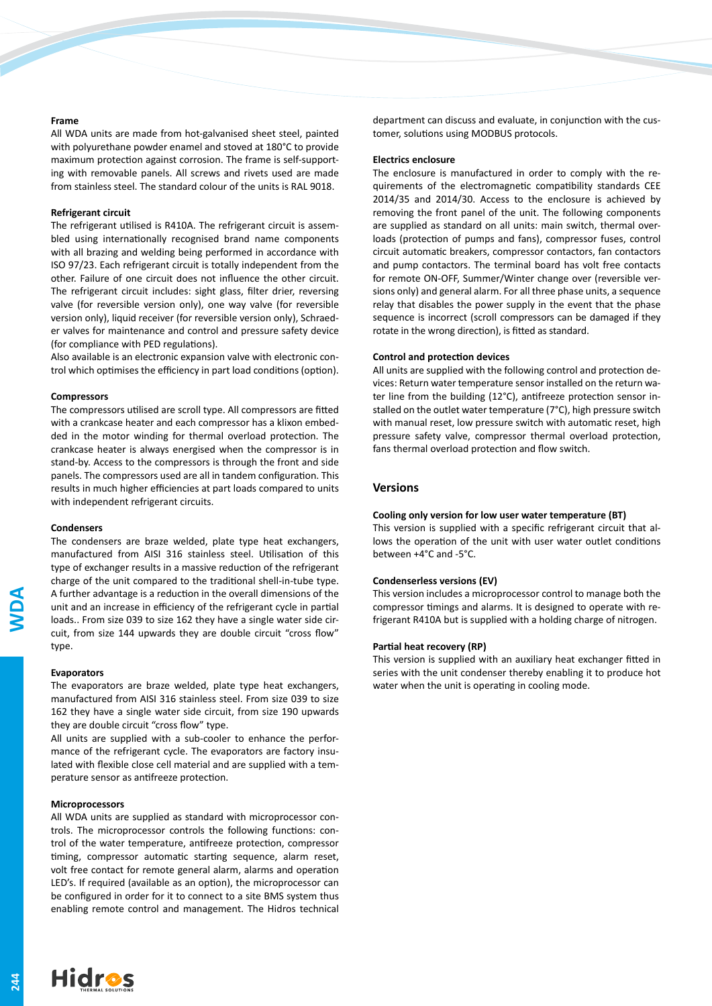### **Frame**

All WDA units are made from hot-galvanised sheet steel, painted with polyurethane powder enamel and stoved at 180°C to provide maximum protection against corrosion. The frame is self-supporting with removable panels. All screws and rivets used are made from stainless steel. The standard colour of the units is RAL 9018.

#### **Refrigerant circuit**

The refrigerant utilised is R410A. The refrigerant circuit is assembled using internationally recognised brand name components with all brazing and welding being performed in accordance with ISO 97/23. Each refrigerant circuit is totally independent from the other. Failure of one circuit does not influence the other circuit. The refrigerant circuit includes: sight glass, filter drier, reversing valve (for reversible version only), one way valve (for reversible version only), liquid receiver (for reversible version only), Schraeder valves for maintenance and control and pressure safety device (for compliance with PED regulations).

Also available is an electronic expansion valve with electronic control which optimises the efficiency in part load conditions (option).

#### **Compressors**

The compressors utilised are scroll type. All compressors are fitted with a crankcase heater and each compressor has a klixon embedded in the motor winding for thermal overload protection. The crankcase heater is always energised when the compressor is in stand-by. Access to the compressors is through the front and side panels. The compressors used are all in tandem configuration. This results in much higher efficiencies at part loads compared to units with independent refrigerant circuits.

#### **Condensers**

The condensers are braze welded, plate type heat exchangers, manufactured from AISI 316 stainless steel. Utilisation of this type of exchanger results in a massive reduction of the refrigerant charge of the unit compared to the traditional shell-in-tube type. A further advantage is a reduction in the overall dimensions of the unit and an increase in efficiency of the refrigerant cycle in partial loads.. From size 039 to size 162 they have a single water side circuit, from size 144 upwards they are double circuit "cross flow" type.

#### **Evaporators**

The evaporators are braze welded, plate type heat exchangers, manufactured from AISI 316 stainless steel. From size 039 to size 162 they have a single water side circuit, from size 190 upwards they are double circuit "cross flow" type.

All units are supplied with a sub-cooler to enhance the performance of the refrigerant cycle. The evaporators are factory insulated with flexible close cell material and are supplied with a temperature sensor as antifreeze protection.

## **Microprocessors**

All WDA units are supplied as standard with microprocessor controls. The microprocessor controls the following functions: control of the water temperature, antifreeze protection, compressor timing, compressor automatic starting sequence, alarm reset, volt free contact for remote general alarm, alarms and operation LED's. If required (available as an option), the microprocessor can be configured in order for it to connect to a site BMS system thus enabling remote control and management. The Hidros technical department can discuss and evaluate, in conjunction with the customer, solutions using MODBUS protocols.

#### **Electrics enclosure**

The enclosure is manufactured in order to comply with the requirements of the electromagnetic compatibility standards CEE 2014/35 and 2014/30. Access to the enclosure is achieved by removing the front panel of the unit. The following components are supplied as standard on all units: main switch, thermal overloads (protection of pumps and fans), compressor fuses, control circuit automatic breakers, compressor contactors, fan contactors and pump contactors. The terminal board has volt free contacts for remote ON-OFF, Summer/Winter change over (reversible versions only) and general alarm. For all three phase units, a sequence relay that disables the power supply in the event that the phase sequence is incorrect (scroll compressors can be damaged if they rotate in the wrong direction), is fitted as standard.

## **Control and protection devices**

All units are supplied with the following control and protection devices: Return water temperature sensor installed on the return water line from the building (12°C), antifreeze protection sensor installed on the outlet water temperature (7°C), high pressure switch with manual reset, low pressure switch with automatic reset, high pressure safety valve, compressor thermal overload protection, fans thermal overload protection and flow switch.

## **Versions**

## **Cooling only version for low user water temperature (BT)**

This version is supplied with a specific refrigerant circuit that allows the operation of the unit with user water outlet conditions between +4°C and -5°C.

## **Condenserless versions (EV)**

This version includes a microprocessor control to manage both the compressor timings and alarms. It is designed to operate with refrigerant R410A but is supplied with a holding charge of nitrogen.

## **Partial heat recovery (RP)**

This version is supplied with an auxiliary heat exchanger fitted in series with the unit condenser thereby enabling it to produce hot water when the unit is operating in cooling mode.